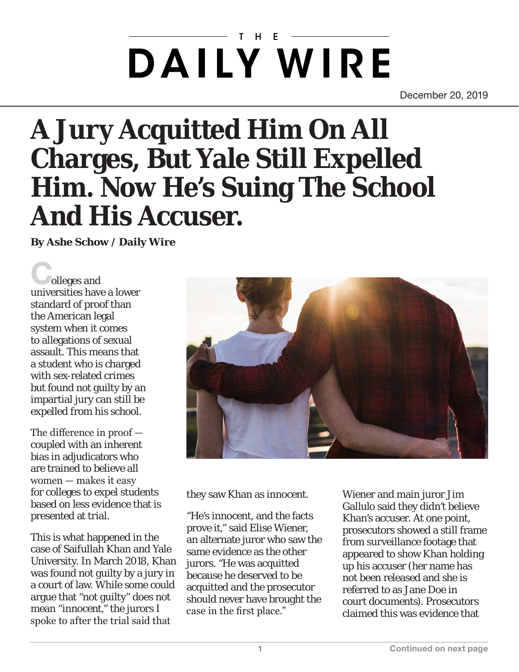## $H$ **DAILY WIRE**

December 20, 2019

## **A Jury Acquitted Him On All Charges, But Yale Still Expelled Him. Now He's Suing The School And His Accuser.**

**By Ashe Schow / Daily Wire** 

olleges and universities have a lower standard of proof than the American legal system when it comes to allegations of sexual assault. This means that a student who is charged with sex-related crimes but found not guilty by an impartial jury can still be expelled from his school.

The difference in proof coupled with an inherent bias in adjudicators who are trained to believe all women — makes it easy for colleges to expel students based on less evidence that is presented at trial.

This is what happened in the case of Saifullah Khan and Yale University. In March 2018, Khan was found not guilty by a jury in a court of law. While some could argue that "not guilty" does not mean "innocent," the jurors I spoke to after the trial said that



they saw Khan as innocent.

"He's innocent, and the facts prove it," said Elise Wiener, an alternate juror who saw the same evidence as the other jurors. "He was acquitted because he deserved to be acquitted and the prosecutor should never have brought the case in the first place."

Wiener and main juror Jim Gallulo said they didn't believe Khan's accuser. At one point, prosecutors showed a still frame from surveillance footage that appeared to show Khan holding up his accuser (her name has not been released and she is referred to as Jane Doe in court documents). Prosecutors claimed this was evidence that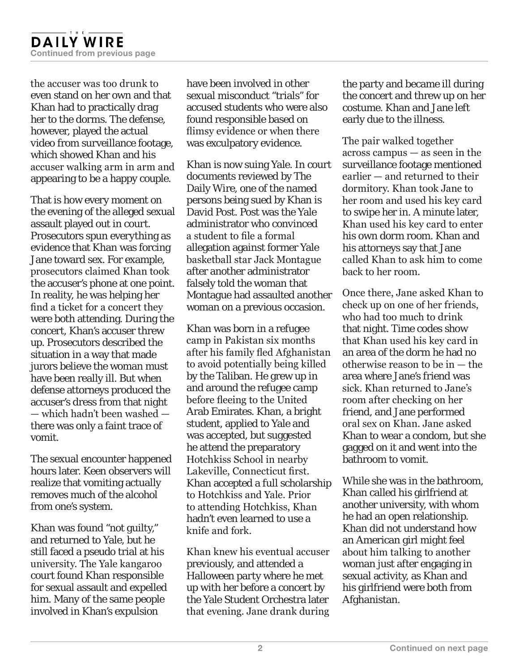the accuser was too drunk to even stand on her own and that Khan had to practically drag her to the dorms. The defense, however, played the actual video from surveillance footage, which showed Khan and his accuser walking arm in arm and appearing to be a happy couple.

That is how every moment on the evening of the alleged sexual assault played out in court. Prosecutors spun everything as evidence that Khan was forcing Jane toward sex. For example, prosecutors claimed Khan took the accuser's phone at one point. In reality, he was helping her find a ticket for a concert they were both attending. During the concert, Khan's accuser threw up. Prosecutors described the situation in a way that made jurors believe the woman must have been really ill. But when defense attorneys produced the accuser's dress from that night — which hadn't been washed there was only a faint trace of vomit.

The sexual encounter happened hours later. Keen observers will realize that vomiting actually removes much of the alcohol from one's system.

Khan was found "not guilty," and returned to Yale, but he still faced a pseudo trial at his university. The Yale kangaroo court found Khan responsible for sexual assault and expelled him. Many of the same people involved in Khan's expulsion

have been involved in other sexual misconduct "trials" for accused students who were also found responsible based on flimsy evidence or when there was exculpatory evidence.

Khan is now suing Yale. In court documents reviewed by The Daily Wire, one of the named persons being sued by Khan is David Post. Post was the Yale administrator who convinced a student to file a formal allegation against former Yale basketball star Jack Montague after another administrator falsely told the woman that Montague had assaulted another woman on a previous occasion.

Khan was born in a refugee camp in Pakistan six months after his family fled Afghanistan to avoid potentially being killed by the Taliban. He grew up in and around the refugee camp before fleeing to the United Arab Emirates. Khan, a bright student, applied to Yale and was accepted, but suggested he attend the preparatory Hotchkiss School in nearby Lakeville, Connecticut first. Khan accepted a full scholarship to Hotchkiss and Yale. Prior to attending Hotchkiss, Khan hadn't even learned to use a knife and fork.

Khan knew his eventual accuser previously, and attended a Halloween party where he met up with her before a concert by the Yale Student Orchestra later that evening. Jane drank during the party and became ill during the concert and threw up on her costume. Khan and Jane left early due to the illness.

The pair walked together across campus — as seen in the surveillance footage mentioned earlier — and returned to their dormitory. Khan took Jane to her room and used his key card to swipe her in. A minute later, Khan used his key card to enter his own dorm room. Khan and his attorneys say that Jane called Khan to ask him to come back to her room.

Once there, Jane asked Khan to check up on one of her friends, who had too much to drink that night. Time codes show that Khan used his key card in an area of the dorm he had no otherwise reason to be in — the area where Jane's friend was sick. Khan returned to Jane's room after checking on her friend, and Jane performed oral sex on Khan. Jane asked Khan to wear a condom, but she gagged on it and went into the bathroom to vomit.

While she was in the bathroom, Khan called his girlfriend at another university, with whom he had an open relationship. Khan did not understand how an American girl might feel about him talking to another woman just after engaging in sexual activity, as Khan and his girlfriend were both from Afghanistan.